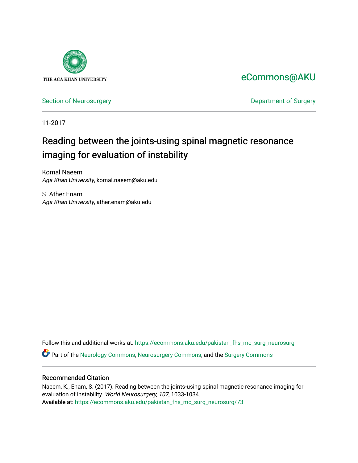

[eCommons@AKU](https://ecommons.aku.edu/) 

[Section of Neurosurgery](https://ecommons.aku.edu/pakistan_fhs_mc_surg_neurosurg) **Department of Surgery** Department of Surgery

11-2017

# Reading between the joints-using spinal magnetic resonance imaging for evaluation of instability

Komal Naeem Aga Khan University, komal.naeem@aku.edu

S. Ather Enam Aga Khan University, ather.enam@aku.edu

Follow this and additional works at: [https://ecommons.aku.edu/pakistan\\_fhs\\_mc\\_surg\\_neurosurg](https://ecommons.aku.edu/pakistan_fhs_mc_surg_neurosurg?utm_source=ecommons.aku.edu%2Fpakistan_fhs_mc_surg_neurosurg%2F73&utm_medium=PDF&utm_campaign=PDFCoverPages) 

Part of the [Neurology Commons](http://network.bepress.com/hgg/discipline/692?utm_source=ecommons.aku.edu%2Fpakistan_fhs_mc_surg_neurosurg%2F73&utm_medium=PDF&utm_campaign=PDFCoverPages), [Neurosurgery Commons](http://network.bepress.com/hgg/discipline/1428?utm_source=ecommons.aku.edu%2Fpakistan_fhs_mc_surg_neurosurg%2F73&utm_medium=PDF&utm_campaign=PDFCoverPages), and the [Surgery Commons](http://network.bepress.com/hgg/discipline/706?utm_source=ecommons.aku.edu%2Fpakistan_fhs_mc_surg_neurosurg%2F73&utm_medium=PDF&utm_campaign=PDFCoverPages) 

### Recommended Citation

Naeem, K., Enam, S. (2017). Reading between the joints-using spinal magnetic resonance imaging for evaluation of instability. World Neurosurgery, 107, 1033-1034. Available at: [https://ecommons.aku.edu/pakistan\\_fhs\\_mc\\_surg\\_neurosurg/73](https://ecommons.aku.edu/pakistan_fhs_mc_surg_neurosurg/73)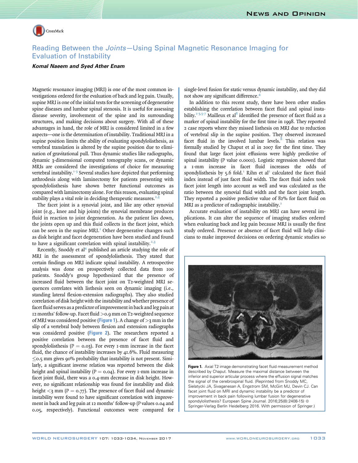

## Reading Between the Joints—Using Spinal Magnetic Resonance Imaging for Evaluation of Instability

#### Komal Naeem and Syed Ather Enam

Magnetic resonance imaging (MRI) is one of the most common investigations ordered for the evaluation of back and leg pain. Usually, supine MRI is one of the initial tests for the screening of degenerative spine diseases and lumbar spinal stenosis. It is useful for assessing disease severity, involvement of the spine and its surrounding structures, and making decisions about surgery. With all of these advantages in hand, the role of MRI is considered limited in a few aspects—one is the determination of instability. Traditional MRI in a supine position limits the ability of evaluating spondylolisthesis, as vertebral translation is altered by the supine position due to elimination of gravitational pull. Thus dynamic studies like radiographs, dynamic 3-dimensional computed tomography scans, or dynamic MRIs are considered the investigations of choice for measuring vertebral instability. $1-3$  Several studies have depicted that performing arthrodesis along with laminectomy for patients presenting with spondylolisthesis have shown better functional outcomes as compared with laminectomy alone. For this reason, evaluating spinal stability plays a vital role in deciding therapeutic measures.<sup>2,3</sup>

The facet joint is a synovial joint, and like any other synovial joint (e.g., knee and hip joints) the synovial membrane produces fluid in reaction to joint degeneration. As the patient lies down, the joints open up and this fluid collects in the facet joint, which can be seen in the supine  $MRL<sup>T</sup>$  Other degenerative changes such as disk height and facet degeneration have been studied and found to have a significant correlation with spinal instability.<sup>[2,3](#page-2-0)</sup>

Recently, Snoddy et al<sup>4</sup> published an article studying the role of MRI in the assessment of spondylolisthesis. They stated that certain findings on MRI indicate spinal instability. A retrospective analysis was done on prospectively collected data from 100 patients. Snoddy's group hypothesized that the presence of increased fluid between the facet joint on T2-weighted MRI sequences correlates with listhesis seen on dynamic imaging (i.e., standing lateral flexion-extension radiographs). They also studied correlation of disk height with the instability and whether presence of facet fluid serves as a predictor of improvement in back and leg pain at 12 months' follow-up. Facet fluid >0.9 mm on T2-weighted sequence of MRI was considered positive (**Figure 1**). A change of  $>$ 3 mm in the slip of a vertebral body between flexion and extension radiographs was considered positive ([Figure 2](#page-2-0)). The researchers reported a positive correlation between the presence of facet fluid and spondylolisthesis ( $P = 0.03$ ). For every 1-mm increase in the facet fluid, the chance of instability increases by 41.6%. Fluid measuring  $\leq$  0.5 mm gives 90% probability that instability is not present. Similarly, a significant inverse relation was reported between the disk height and spinal instability ( $P = 0.04$ ). For every 1-mm increase in facet joint fluid, there was a 0.4-mm decrease in disk height. However, no significant relationship was found for instability and disk height  $\langle 3 \text{ mm } (P = 0.77)$ . The presence of facet fluid and dynamic instability were found to have significant correlation with improvement in back and leg pain at 12 months' follow-up (P values 0.04 and 0.05, respectively). Functional outcomes were compared for

single-level fusion for static versus dynamic instability, and they did not show any significant difference[.4](#page-2-0)

In addition to this recent study, there have been other studies establishing the correlation between facet fluid and spinal instability.<sup>1-3,5-7</sup> Mailleux et al<sup>8</sup> identified the presence of facet fluid as a marker of spinal instability for the first time in 1998. They reported 2 case reports where they missed listhesis on MRI due to reduction of vertebral slip in the supine position. They observed increased facet fluid in the involved lumbar levels. $8$  This relation was formally studied by Chaput et al in 2007 for the first time. They found that large facet joint effusions were highly predictive of spinal instability (P value 0.0001). Logistic regression showed that a 1-mm increase in facet fluid increases the odds of spondylisthesis by 5.6 fold.<sup>[1](#page-2-0)</sup> Rihn et al<sup>2</sup> calculated the facet fluid index instead of just facet fluid width. The facet fluid index took facet joint length into account as well and was calculated as the ratio between the synovial fluid width and the facet joint length. They reported a positive predictive value of 82% for facet fluid on MRI as a predictor of radiographic instability.<sup>2</sup>

Accurate evaluation of instability on MRI can have several implications. It can alter the sequence of imaging studies ordered when evaluating back and leg pain because MRI is usually the first study ordered. Presence or absence of facet fluid will help clinicians to make improved decisions on ordering dynamic studies so



Figure 1. Axial T2 image demonstrating facet fluid measurement method described by Chaput. Measure the maximal distance between the inferior and superior articular process where the effusion signal matches the signal of the cerebrospinal fluid. (Reprinted from Snoddy MC, Sielatycki JA, Sivaganesan A, Engstrom SM, McGirt MJ, Devin CJ. Can facet joint fluid on MRI and dynamic instability be a predictor of improvement in back pain following lumbar fusion for degenerative spondylolisthesis? European Spine Journal. 2016;25(8):2408-15) © Springer-Verlag Berlin Heidelberg 2016. With permission of Springer.)